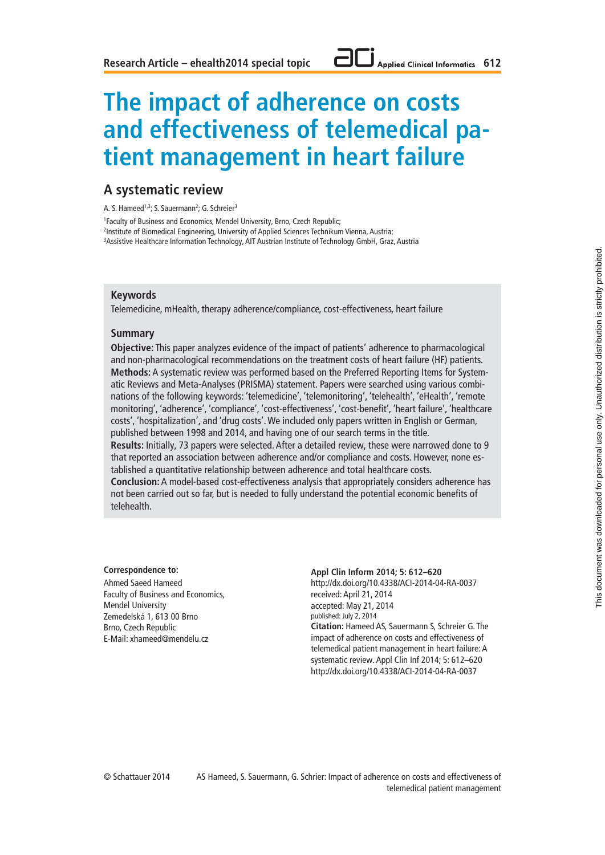# **The impact of adherence on costs and effectiveness of telemedical patient management in heart failure**

### **A systematic review**

A. S. Hameed<sup>1,3</sup>; S. Sauermann<sup>2</sup>; G. Schreier<sup>3</sup>

<sup>1</sup>Faculty of Business and Economics, Mendel University, Brno, Czech Republic; <sup>2</sup>Institute of Biomedical Engineering, University of Applied Sciences Technikum Vienna, Austria; 3 Assistive Healthcare Information Technology, AIT Austrian Institute of Technology GmbH, Graz, Austria

### **Keywords**

Telemedicine, mHealth, therapy adherence/compliance, cost-effectiveness, heart failure

#### **Summary**

**Objective:** This paper analyzes evidence of the impact of patients' adherence to pharmacological and non-pharmacological recommendations on the treatment costs of heart failure (HF) patients. **Methods:** A systematic review was performed based on the Preferred Reporting Items for Systematic Reviews and Meta-Analyses (PRISMA) statement. Papers were searched using various combinations of the following keywords: 'telemedicine', 'telemonitoring', 'telehealth', 'eHealth', 'remote monitoring', 'adherence', 'compliance', 'cost-effectiveness', 'cost-benefit', 'heart failure', 'healthcare costs', 'hospitalization', and 'drug costs'. We included only papers written in English or German, published between 1998 and 2014, and having one of our search terms in the title. **Results:** Initially, 73 papers were selected. After a detailed review, these were narrowed done to 9 that reported an association between adherence and/or compliance and costs. However, none established a quantitative relationship between adherence and total healthcare costs. **Conclusion:** A model-based cost-effectiveness analysis that appropriately considers adherence has not been carried out so far, but is needed to fully understand the potential economic benefits of telehealth.

#### **Correspondence to:**

Ahmed Saeed Hameed Faculty of Business and Economics, Mendel University Zemedelská 1, 613 00 Brno Brno, Czech Republic E-Mail: xhameed@mendelu.cz

#### **Appl Clin Inform 2014; 5: 612–620**

http://dx.doi.org/10.4338/ACI-2014-04-RA-0037 received: April 21, 2014 accepted: May 21, 2014 published: July 2, 2014 **Citation:** Hameed AS, Sauermann S, Schreier G. The impact of adherence on costs and effectiveness of telemedical patient management in heart failure: A systematic review. Appl Clin Inf 2014; 5: 612–620 http://dx.doi.org/10.4338/ACI-2014-04-RA-0037

**Applied Clinical Informatics 612**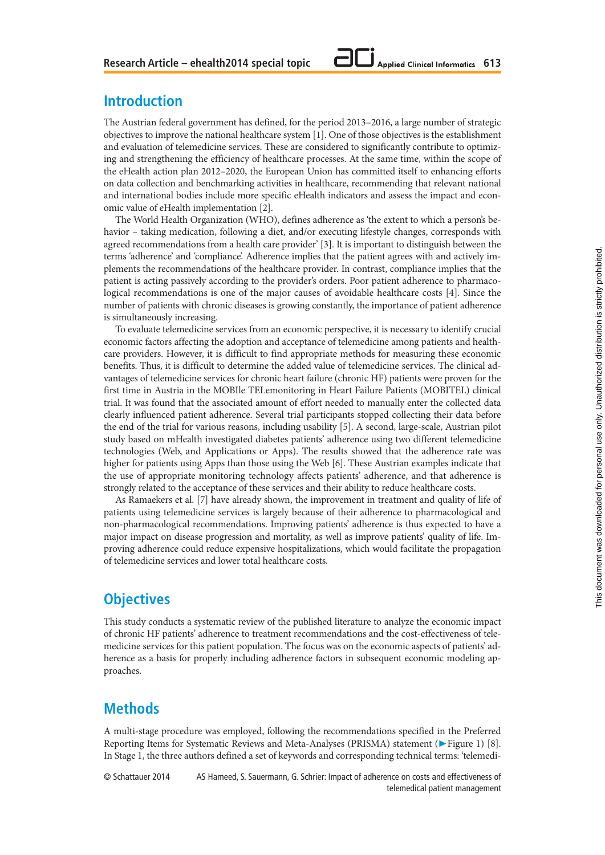#### **Applied Clinical Informatics 613**

### **Introduction**

The Austrian federal government has defined, for the period 2013–2016, a large number of strategic objectives to improve the national healthcare system [1]. One of those objectives is the establishment and evaluation of telemedicine services. These are considered to significantly contribute to optimizing and strengthening the efficiency of healthcare processes. At the same time, within the scope of the eHealth action plan 2012–2020, the European Union has committed itself to enhancing efforts on data collection and benchmarking activities in healthcare, recommending that relevant national and international bodies include more specific eHealth indicators and assess the impact and economic value of eHealth implementation [2].

The World Health Organization (WHO), defines adherence as 'the extent to which a person's behavior – taking medication, following a diet, and/or executing lifestyle changes, corresponds with agreed recommendations from a health care provider' [3]. It is important to distinguish between the terms 'adherence' and 'compliance'. Adherence implies that the patient agrees with and actively implements the recommendations of the healthcare provider. In contrast, compliance implies that the patient is acting passively according to the provider's orders. Poor patient adherence to pharmacological recommendations is one of the major causes of avoidable healthcare costs [4]. Since the number of patients with chronic diseases is growing constantly, the importance of patient adherence is simultaneously increasing.

To evaluate telemedicine services from an economic perspective, it is necessary to identify crucial economic factors affecting the adoption and acceptance of telemedicine among patients and healthcare providers. However, it is difficult to find appropriate methods for measuring these economic benefits. Thus, it is difficult to determine the added value of telemedicine services. The clinical advantages of telemedicine services for chronic heart failure (chronic HF) patients were proven for the first time in Austria in the MOBIle TELemonitoring in Heart Failure Patients (MOBITEL) clinical trial. It was found that the associated amount of effort needed to manually enter the collected data clearly influenced patient adherence. Several trial participants stopped collecting their data before the end of the trial for various reasons, including usability [5]. A second, large-scale, Austrian pilot study based on mHealth investigated diabetes patients' adherence using two different telemedicine technologies (Web, and Applications or Apps). The results showed that the adherence rate was higher for patients using Apps than those using the Web [6]. These Austrian examples indicate that the use of appropriate monitoring technology affects patients' adherence, and that adherence is strongly related to the acceptance of these services and their ability to reduce healthcare costs.

As Ramaekers et al. [7] have already shown, the improvement in treatment and quality of life of patients using telemedicine services is largely because of their adherence to pharmacological and non-pharmacological recommendations. Improving patients' adherence is thus expected to have a major impact on disease progression and mortality, as well as improve patients' quality of life. Improving adherence could reduce expensive hospitalizations, which would facilitate the propagation of telemedicine services and lower total healthcare costs.

# **Objectives**

This study conducts a systematic review of the published literature to analyze the economic impact of chronic HF patients' adherence to treatment recommendations and the cost-effectiveness of telemedicine services for this patient population. The focus was on the economic aspects of patients' adherence as a basis for properly including adherence factors in subsequent economic modeling approaches.

# **Methods**

A multi-stage procedure was employed, following the recommendations specified in the Preferred Reporting Items for Systematic Reviews and Meta-Analyses (PRISMA) statement (▶ Figure 1) [8]. In Stage 1, the three authors defined a set of keywords and corresponding technical terms: 'telemedi-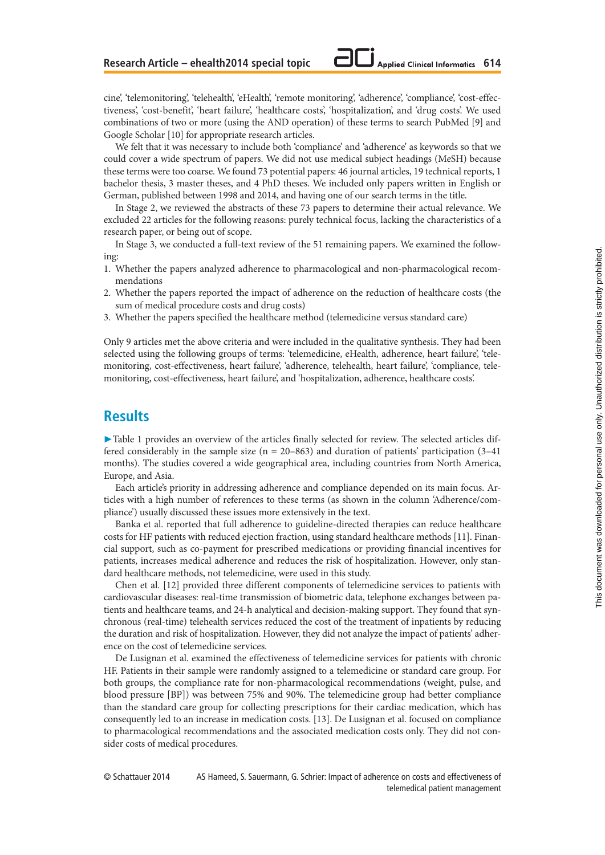cine', 'telemonitoring', 'telehealth', 'eHealth', 'remote monitoring', 'adherence', 'compliance', 'cost-effectiveness', 'cost-benefit', 'heart failure', 'healthcare costs', 'hospitalization', and 'drug costs'. We used combinations of two or more (using the AND operation) of these terms to search PubMed [9] and Google Scholar [10] for appropriate research articles.

**Applied Clinical Informatics 614** 

We felt that it was necessary to include both 'compliance' and 'adherence' as keywords so that we could cover a wide spectrum of papers. We did not use medical subject headings (MeSH) because these terms were too coarse. We found 73 potential papers: 46 journal articles, 19 technical reports, 1 bachelor thesis, 3 master theses, and 4 PhD theses. We included only papers written in English or German, published between 1998 and 2014, and having one of our search terms in the title.

In Stage 2, we reviewed the abstracts of these 73 papers to determine their actual relevance. We excluded 22 articles for the following reasons: purely technical focus, lacking the characteristics of a research paper, or being out of scope.

In Stage 3, we conducted a full-text review of the 51 remaining papers. We examined the following:

- 1. Whether the papers analyzed adherence to pharmacological and non-pharmacological recommendations
- 2. Whether the papers reported the impact of adherence on the reduction of healthcare costs (the sum of medical procedure costs and drug costs)
- 3. Whether the papers specified the healthcare method (telemedicine versus standard care)

Only 9 articles met the above criteria and were included in the qualitative synthesis. They had been selected using the following groups of terms: 'telemedicine, eHealth, adherence, heart failure', 'telemonitoring, cost-effectiveness, heart failure', 'adherence, telehealth, heart failure', 'compliance, telemonitoring, cost-effectiveness, heart failure', and 'hospitalization, adherence, healthcare costs'.

## **Results**

▶ Table 1 provides an overview of the articles finally selected for review. The selected articles differed considerably in the sample size ( $n = 20-863$ ) and duration of patients' participation (3-41) months). The studies covered a wide geographical area, including countries from North America, Europe, and Asia.

Each article's priority in addressing adherence and compliance depended on its main focus. Articles with a high number of references to these terms (as shown in the column 'Adherence/compliance') usually discussed these issues more extensively in the text.

Banka et al. reported that full adherence to guideline-directed therapies can reduce healthcare costs for HF patients with reduced ejection fraction, using standard healthcare methods [11]. Financial support, such as co-payment for prescribed medications or providing financial incentives for patients, increases medical adherence and reduces the risk of hospitalization. However, only standard healthcare methods, not telemedicine, were used in this study.

Chen et al. [12] provided three different components of telemedicine services to patients with cardiovascular diseases: real-time transmission of biometric data, telephone exchanges between patients and healthcare teams, and 24-h analytical and decision-making support. They found that synchronous (real-time) telehealth services reduced the cost of the treatment of inpatients by reducing the duration and risk of hospitalization. However, they did not analyze the impact of patients' adherence on the cost of telemedicine services.

De Lusignan et al. examined the effectiveness of telemedicine services for patients with chronic HF. Patients in their sample were randomly assigned to a telemedicine or standard care group. For both groups, the compliance rate for non-pharmacological recommendations (weight, pulse, and blood pressure [BP]) was between 75% and 90%. The telemedicine group had better compliance than the standard care group for collecting prescriptions for their cardiac medication, which has consequently led to an increase in medication costs. [13]. De Lusignan et al. focused on compliance to pharmacological recommendations and the associated medication costs only. They did not consider costs of medical procedures.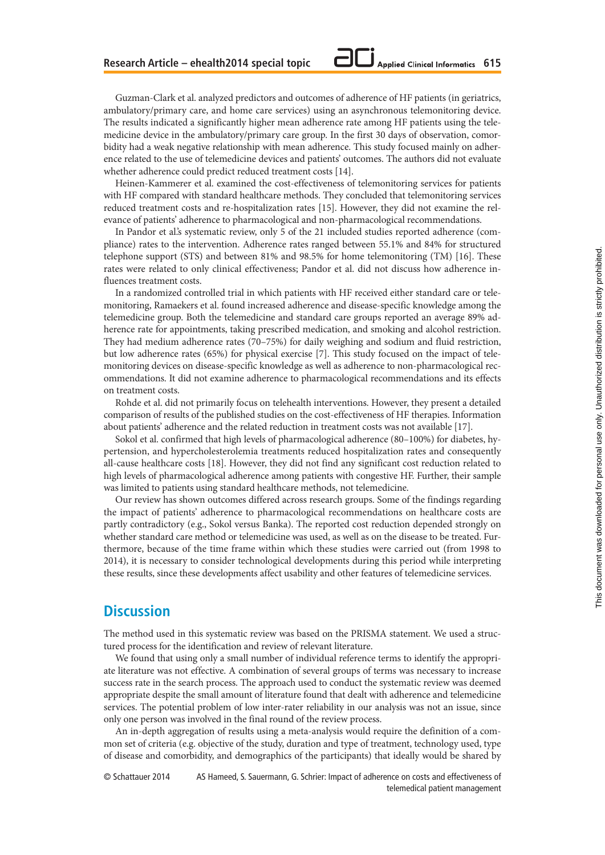Guzman-Clark et al. analyzed predictors and outcomes of adherence of HF patients (in geriatrics, ambulatory/primary care, and home care services) using an asynchronous telemonitoring device. The results indicated a significantly higher mean adherence rate among HF patients using the telemedicine device in the ambulatory/primary care group. In the first 30 days of observation, comorbidity had a weak negative relationship with mean adherence. This study focused mainly on adherence related to the use of telemedicine devices and patients' outcomes. The authors did not evaluate whether adherence could predict reduced treatment costs [14].

**Applied Clinical Informatics 615** 

Heinen-Kammerer et al. examined the cost-effectiveness of telemonitoring services for patients with HF compared with standard healthcare methods. They concluded that telemonitoring services reduced treatment costs and re-hospitalization rates [15]. However, they did not examine the relevance of patients' adherence to pharmacological and non-pharmacological recommendations.

In Pandor et al.'s systematic review, only 5 of the 21 included studies reported adherence (compliance) rates to the intervention. Adherence rates ranged between 55.1% and 84% for structured telephone support (STS) and between 81% and 98.5% for home telemonitoring (TM) [16]. These rates were related to only clinical effectiveness; Pandor et al. did not discuss how adherence influences treatment costs.

In a randomized controlled trial in which patients with HF received either standard care or telemonitoring, Ramaekers et al. found increased adherence and disease-specific knowledge among the telemedicine group. Both the telemedicine and standard care groups reported an average 89% adherence rate for appointments, taking prescribed medication, and smoking and alcohol restriction. They had medium adherence rates (70–75%) for daily weighing and sodium and fluid restriction, but low adherence rates (65%) for physical exercise [7]. This study focused on the impact of telemonitoring devices on disease-specific knowledge as well as adherence to non-pharmacological recommendations. It did not examine adherence to pharmacological recommendations and its effects on treatment costs.

Rohde et al. did not primarily focus on telehealth interventions. However, they present a detailed comparison of results of the published studies on the cost-effectiveness of HF therapies. Information about patients' adherence and the related reduction in treatment costs was not available [17].

Sokol et al. confirmed that high levels of pharmacological adherence (80–100%) for diabetes, hypertension, and hypercholesterolemia treatments reduced hospitalization rates and consequently all-cause healthcare costs [18]. However, they did not find any significant cost reduction related to high levels of pharmacological adherence among patients with congestive HF. Further, their sample was limited to patients using standard healthcare methods, not telemedicine.

Our review has shown outcomes differed across research groups. Some of the findings regarding the impact of patients' adherence to pharmacological recommendations on healthcare costs are partly contradictory (e.g., Sokol versus Banka). The reported cost reduction depended strongly on whether standard care method or telemedicine was used, as well as on the disease to be treated. Furthermore, because of the time frame within which these studies were carried out (from 1998 to 2014), it is necessary to consider technological developments during this period while interpreting these results, since these developments affect usability and other features of telemedicine services.

### **Discussion**

The method used in this systematic review was based on the PRISMA statement. We used a structured process for the identification and review of relevant literature.

We found that using only a small number of individual reference terms to identify the appropriate literature was not effective. A combination of several groups of terms was necessary to increase success rate in the search process. The approach used to conduct the systematic review was deemed appropriate despite the small amount of literature found that dealt with adherence and telemedicine services. The potential problem of low inter-rater reliability in our analysis was not an issue, since only one person was involved in the final round of the review process.

An in-depth aggregation of results using a meta-analysis would require the definition of a common set of criteria (e.g. objective of the study, duration and type of treatment, technology used, type of disease and comorbidity, and demographics of the participants) that ideally would be shared by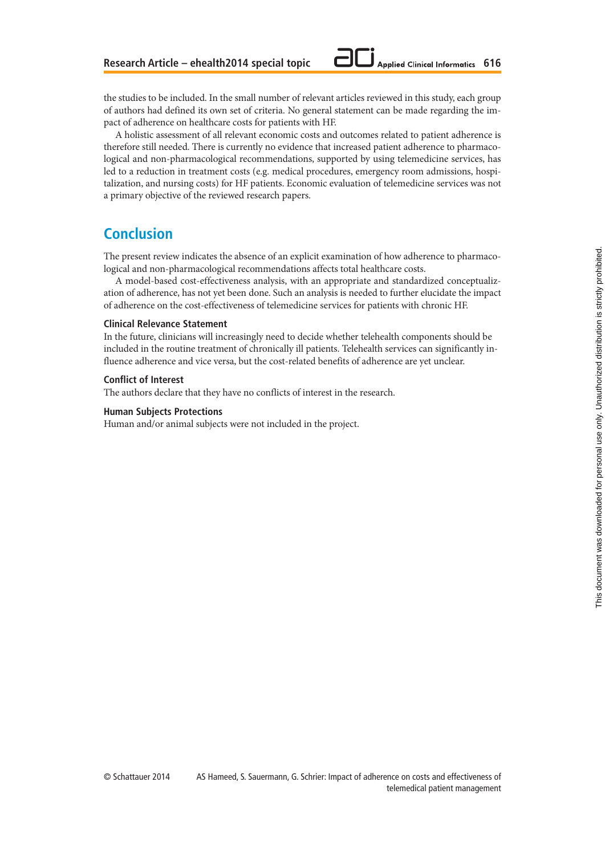the studies to be included. In the small number of relevant articles reviewed in this study, each group of authors had defined its own set of criteria. No general statement can be made regarding the impact of adherence on healthcare costs for patients with HF.

**Applied Clinical Informatics 616** 

A holistic assessment of all relevant economic costs and outcomes related to patient adherence is therefore still needed. There is currently no evidence that increased patient adherence to pharmacological and non-pharmacological recommendations, supported by using telemedicine services, has led to a reduction in treatment costs (e.g. medical procedures, emergency room admissions, hospitalization, and nursing costs) for HF patients. Economic evaluation of telemedicine services was not a primary objective of the reviewed research papers.

# **Conclusion**

The present review indicates the absence of an explicit examination of how adherence to pharmacological and non-pharmacological recommendations affects total healthcare costs.

A model-based cost-effectiveness analysis, with an appropriate and standardized conceptualization of adherence, has not yet been done. Such an analysis is needed to further elucidate the impact of adherence on the cost-effectiveness of telemedicine services for patients with chronic HF.

#### **Clinical Relevance Statement**

In the future, clinicians will increasingly need to decide whether telehealth components should be included in the routine treatment of chronically ill patients. Telehealth services can significantly influence adherence and vice versa, but the cost-related benefits of adherence are yet unclear.

#### **Conflict of Interest**

The authors declare that they have no conflicts of interest in the research.

#### **Human Subjects Protections**

Human and/or animal subjects were not included in the project.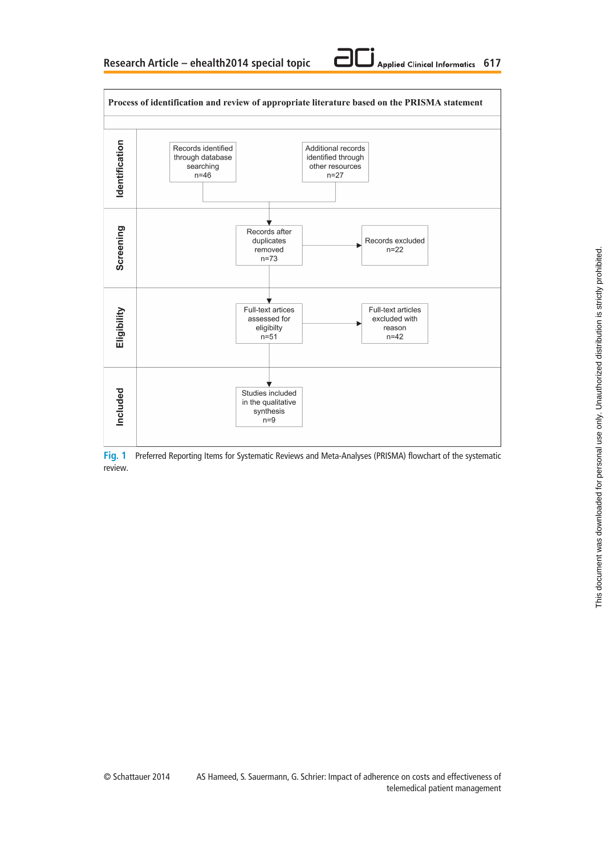### **Research Article – ehealth2014 special topic**





**Fig. 1** Preferred Reporting Items for Systematic Reviews and Meta-Analyses (PRISMA) flowchart of the systematic review.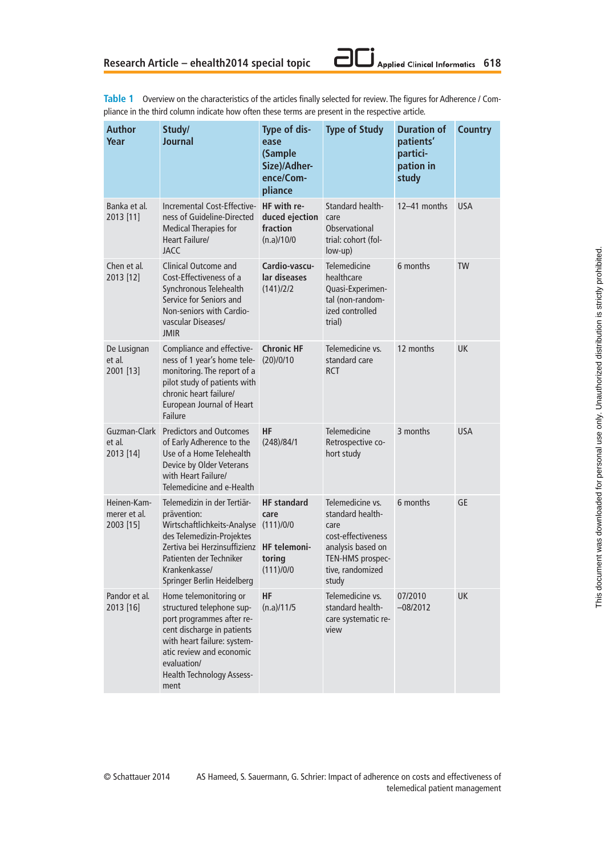| Applied Clinical Informatics 619 |  |
|----------------------------------|--|

| <b>Author</b><br>Year                    | Study/<br><b>Journal</b>                                                                                                                                                                                                             | Type of dis-<br>ease<br>(Sample<br>Size)/Adher-<br>ence/Com-<br>pliance | <b>Type of Study</b>                                                                                                                     | <b>Duration of</b><br>patients'<br>partici-<br>pation in<br>study | <b>Country</b> |
|------------------------------------------|--------------------------------------------------------------------------------------------------------------------------------------------------------------------------------------------------------------------------------------|-------------------------------------------------------------------------|------------------------------------------------------------------------------------------------------------------------------------------|-------------------------------------------------------------------|----------------|
| Banka et al.<br>2013 [11]                | Incremental Cost-Effective-<br>ness of Guideline-Directed<br><b>Medical Therapies for</b><br>Heart Failure/<br><b>JACC</b>                                                                                                           | HF with re-<br>duced ejection<br>fraction<br>(n.a)/10/0                 | Standard health-<br>care<br>Observational<br>trial: cohort (fol-<br>low-up)                                                              | $12-41$ months                                                    | <b>USA</b>     |
| Chen et al.<br>2013 [12]                 | <b>Clinical Outcome and</b><br>Cost-Effectiveness of a<br>Synchronous Telehealth<br>Service for Seniors and<br>Non-seniors with Cardio-<br>vascular Diseases/<br><b>JMIR</b>                                                         | Cardio-vascu-<br>lar diseases<br>(141)/2/2                              | Telemedicine<br>healthcare<br>Quasi-Experimen-<br>tal (non-random-<br>ized controlled<br>trial)                                          | 6 months                                                          | <b>TW</b>      |
| De Lusignan<br>et al.<br>2001 [13]       | Compliance and effective-<br>ness of 1 year's home tele-<br>monitoring. The report of a<br>pilot study of patients with<br>chronic heart failure/<br>European Journal of Heart<br>Failure                                            | <b>Chronic HF</b><br>(20)/0/10                                          | Telemedicine vs.<br>standard care<br>RCT                                                                                                 | 12 months                                                         | <b>UK</b>      |
| et al.<br>2013 [14]                      | Guzman-Clark Predictors and Outcomes<br>of Early Adherence to the<br>Use of a Home Telehealth<br>Device by Older Veterans<br>with Heart Failure/<br>Telemedicine and e-Health                                                        | HF<br>(248)/84/1                                                        | Telemedicine<br>Retrospective co-<br>hort study                                                                                          | 3 months                                                          | <b>USA</b>     |
| Heinen-Kam-<br>merer et al.<br>2003 [15] | Telemedizin in der Tertiär-<br>prävention:<br>Wirtschaftlichkeits-Analyse<br>des Telemedizin-Projektes<br>Zertiva bei Herzinsuffizienz HF telemoni-<br>Patienten der Techniker<br>Krankenkasse/<br>Springer Berlin Heidelberg        | <b>HF</b> standard<br>care<br>(111)/0/0<br>toring<br>(111)/0/0          | Telemedicine vs.<br>standard health-<br>care<br>cost-effectiveness<br>analysis based on<br>TEN-HMS prospec-<br>tive, randomized<br>study | 6 months                                                          | <b>GE</b>      |
| Pandor et al.<br>2013 [16]               | Home telemonitoring or<br>structured telephone sup-<br>port programmes after re-<br>cent discharge in patients<br>with heart failure: system-<br>atic review and economic<br>evaluation/<br><b>Health Technology Assess-</b><br>ment | <b>HF</b><br>(n.a)/11/5                                                 | Telemedicine vs.<br>standard health-<br>care systematic re-<br>view                                                                      | 07/2010<br>$-08/2012$                                             | <b>UK</b>      |

**Table 1** Overview on the characteristics of the articles finally selected for review. The figures for Adherence / Compliance in the third column indicate how often these terms are present in the respective article.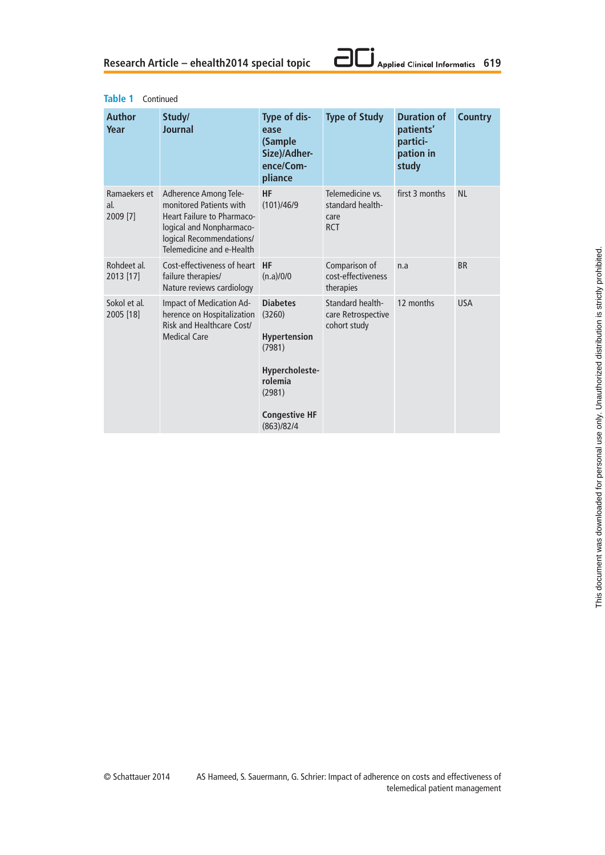| Applied Clinical Informatics 619 |  |
|----------------------------------|--|

| <b>Author</b><br>Year           | Study/<br><b>Journal</b>                                                                                                                                                   | Type of dis-<br>ease<br>(Sample<br>Size)/Adher-<br>ence/Com-<br>pliance                                                                 | <b>Type of Study</b>                                       | <b>Duration of</b><br>patients'<br>partici-<br>pation in<br>study | <b>Country</b> |
|---------------------------------|----------------------------------------------------------------------------------------------------------------------------------------------------------------------------|-----------------------------------------------------------------------------------------------------------------------------------------|------------------------------------------------------------|-------------------------------------------------------------------|----------------|
| Ramaekers et<br>al.<br>2009 [7] | Adherence Among Tele-<br>monitored Patients with<br><b>Heart Failure to Pharmaco-</b><br>logical and Nonpharmaco-<br>logical Recommendations/<br>Telemedicine and e-Health | <b>HF</b><br>(101)/46/9                                                                                                                 | Telemedicine vs.<br>standard health-<br>care<br><b>RCT</b> | first 3 months                                                    | N <sub>1</sub> |
| Rohdeet al.<br>2013 [17]        | Cost-effectiveness of heart<br>failure therapies/<br>Nature reviews cardiology                                                                                             | <b>HF</b><br>(n.a)/0/0                                                                                                                  | Comparison of<br>cost-effectiveness<br>therapies           | n.a                                                               | <b>BR</b>      |
| Sokol et al.<br>2005 [18]       | Impact of Medication Ad-<br>herence on Hospitalization<br>Risk and Healthcare Cost/<br><b>Medical Care</b>                                                                 | <b>Diabetes</b><br>(3260)<br><b>Hypertension</b><br>(7981)<br>Hypercholeste-<br>rolemia<br>(2981)<br><b>Congestive HF</b><br>(863)/82/4 | Standard health-<br>care Retrospective<br>cohort study     | 12 months                                                         | <b>USA</b>     |

### **Table 1** Continued